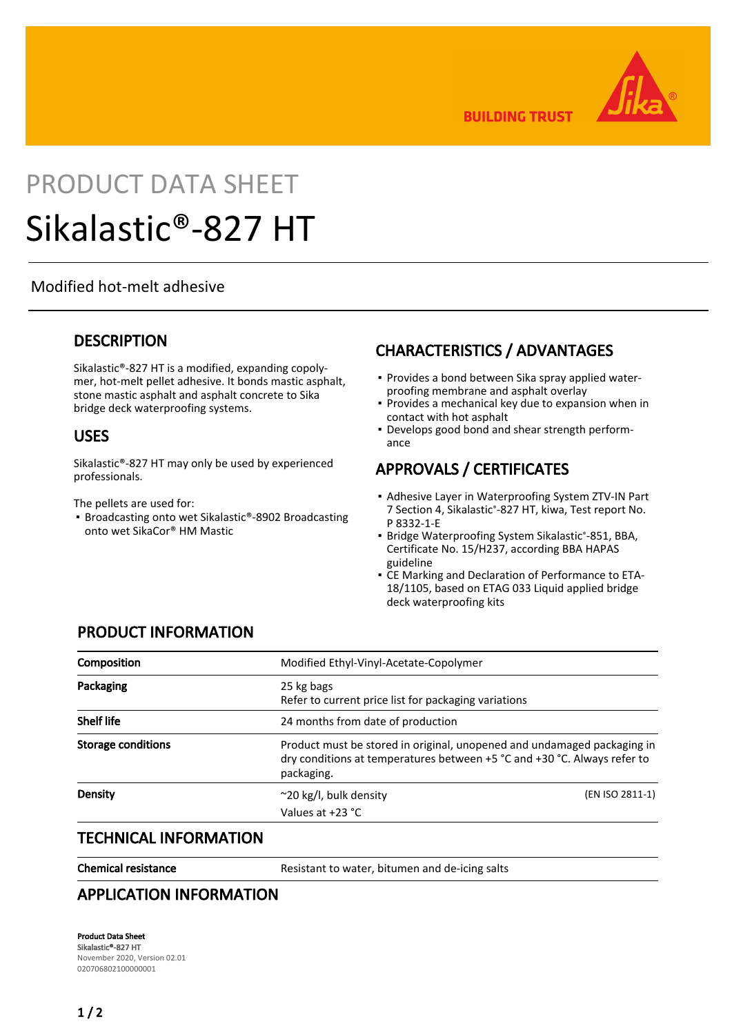

**BUILDING TRUST** 

# PRODUCT DATA SHEET Sikalastic®-827 HT

#### Modified hot-melt adhesive

### **DESCRIPTION**

Sikalastic®-827 HT is a modified, expanding copolymer, hot-melt pellet adhesive. It bonds mastic asphalt, stone mastic asphalt and asphalt concrete to Sika bridge deck waterproofing systems.

### USES

Sikalastic®-827 HT may only be used by experienced professionals.

The pellets are used for:

■ Broadcasting onto wet Sikalastic®-8902 Broadcasting onto wet SikaCor® HM Mastic

# CHARACTERISTICS / ADVANTAGES

- Provides a bond between Sika spray applied waterproofing membrane and asphalt overlay
- **Provides a mechanical key due to expansion when in** contact with hot asphalt
- Develops good bond and shear strength perform-▪ ance

## APPROVALS / CERTIFICATES

- **Adhesive Layer in Waterproofing System ZTV-IN Part** 7 Section 4, Sikalastic®-827 HT, kiwa, Test report No. P 8332-1-E
- Bridge Waterproofing System Sikalastic®-851, BBA, Certificate No. 15/H237, according BBA HAPAS guideline
- CE Marking and Declaration of Performance to ETA-▪ 18/1105, based on ETAG 033 Liquid applied bridge deck waterproofing kits

# PRODUCT INFORMATION

| Composition               | Modified Ethyl-Vinyl-Acetate-Copolymer                                                                                                                            |                 |
|---------------------------|-------------------------------------------------------------------------------------------------------------------------------------------------------------------|-----------------|
| Packaging                 | 25 kg bags<br>Refer to current price list for packaging variations                                                                                                |                 |
| <b>Shelf life</b>         | 24 months from date of production                                                                                                                                 |                 |
| <b>Storage conditions</b> | Product must be stored in original, unopened and undamaged packaging in<br>dry conditions at temperatures between +5 °C and +30 °C. Always refer to<br>packaging. |                 |
| Density                   | ~20 kg/l, bulk density<br>Values at $+23$ °C                                                                                                                      | (EN ISO 2811-1) |

#### TECHNICAL INFORMATION

Chemical resistance Resistant to water, bitumen and de-icing salts

#### APPLICATION INFORMATION

Product Data Sheet Sikalastic®-827 HT November 2020, Version 02.01 020706802100000001